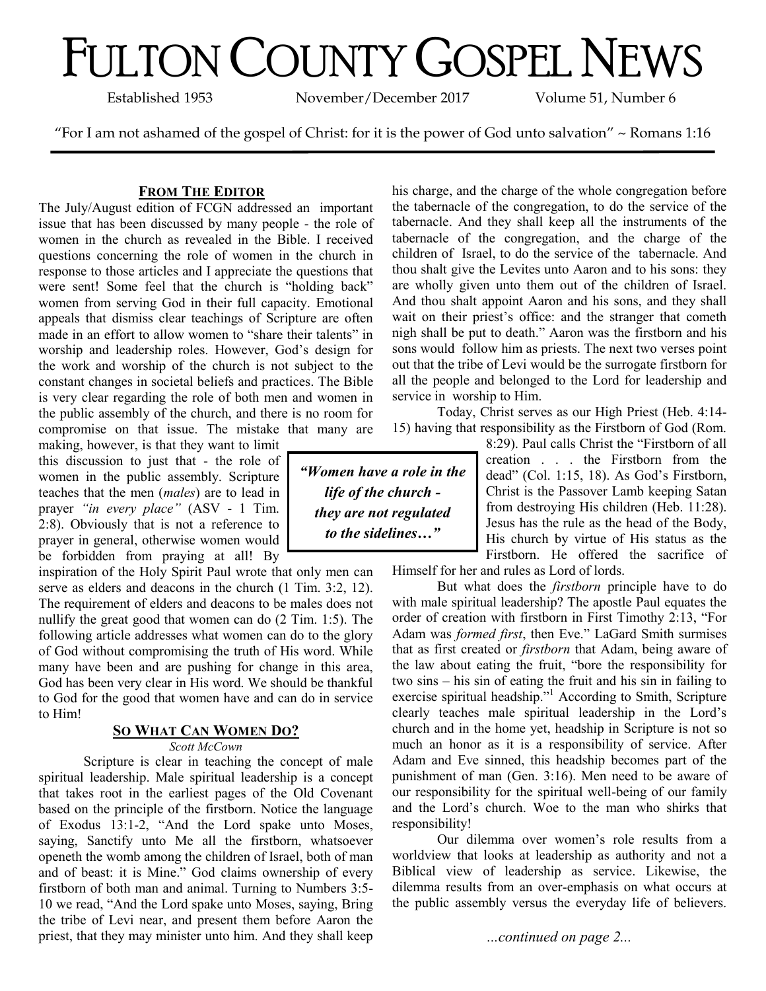# FULTON COUNTY GOSPEL NEWS

Established 1953 November/December 2017 Volume 51, Number 6

"For I am not ashamed of the gospel of Christ: for it is the power of God unto salvation" ~ Romans 1:16

#### **FROM THE EDITOR**

The July/August edition of FCGN addressed an important issue that has been discussed by many people - the role of women in the church as revealed in the Bible. I received questions concerning the role of women in the church in response to those articles and I appreciate the questions that were sent! Some feel that the church is "holding back" women from serving God in their full capacity. Emotional appeals that dismiss clear teachings of Scripture are often made in an effort to allow women to "share their talents" in worship and leadership roles. However, God's design for the work and worship of the church is not subject to the constant changes in societal beliefs and practices. The Bible is very clear regarding the role of both men and women in the public assembly of the church, and there is no room for compromise on that issue. The mistake that many are

making, however, is that they want to limit this discussion to just that - the role of women in the public assembly. Scripture teaches that the men (*males*) are to lead in prayer *"in every place"* (ASV - 1 Tim. 2:8). Obviously that is not a reference to prayer in general, otherwise women would be forbidden from praying at all! By

inspiration of the Holy Spirit Paul wrote that only men can serve as elders and deacons in the church (1 Tim. 3:2, 12). The requirement of elders and deacons to be males does not nullify the great good that women can do (2 Tim. 1:5). The following article addresses what women can do to the glory of God without compromising the truth of His word. While many have been and are pushing for change in this area, God has been very clear in His word. We should be thankful to God for the good that women have and can do in service to Him!

#### **SO WHAT CAN WOMEN DO?** *Scott McCown*

Scripture is clear in teaching the concept of male spiritual leadership. Male spiritual leadership is a concept that takes root in the earliest pages of the Old Covenant based on the principle of the firstborn. Notice the language of Exodus 13:1-2, "And the Lord spake unto Moses, saying, Sanctify unto Me all the firstborn, whatsoever openeth the womb among the children of Israel, both of man and of beast: it is Mine." God claims ownership of every firstborn of both man and animal. Turning to Numbers 3:5- 10 we read, "And the Lord spake unto Moses, saying, Bring the tribe of Levi near, and present them before Aaron the priest, that they may minister unto him. And they shall keep his charge, and the charge of the whole congregation before the tabernacle of the congregation, to do the service of the tabernacle. And they shall keep all the instruments of the tabernacle of the congregation, and the charge of the children of Israel, to do the service of the tabernacle. And thou shalt give the Levites unto Aaron and to his sons: they are wholly given unto them out of the children of Israel. And thou shalt appoint Aaron and his sons, and they shall wait on their priest's office: and the stranger that cometh nigh shall be put to death." Aaron was the firstborn and his sons would follow him as priests. The next two verses point out that the tribe of Levi would be the surrogate firstborn for all the people and belonged to the Lord for leadership and service in worship to Him.

Today, Christ serves as our High Priest (Heb. 4:14- 15) having that responsibility as the Firstborn of God (Rom.

*"Women have a role in the life of the church they are not regulated to the sidelines…"*

8:29). Paul calls Christ the "Firstborn of all creation . . . the Firstborn from the dead" (Col. 1:15, 18). As God's Firstborn, Christ is the Passover Lamb keeping Satan from destroying His children (Heb. 11:28). Jesus has the rule as the head of the Body, His church by virtue of His status as the Firstborn. He offered the sacrifice of Himself for her and rules as Lord of lords.

But what does the *firstborn* principle have to do with male spiritual leadership? The apostle Paul equates the order of creation with firstborn in First Timothy 2:13, "For Adam was *formed first*, then Eve." LaGard Smith surmises that as first created or *firstborn* that Adam, being aware of the law about eating the fruit, "bore the responsibility for two sins – his sin of eating the fruit and his sin in failing to exercise spiritual headship."<sup>1</sup> According to Smith, Scripture clearly teaches male spiritual leadership in the Lord's church and in the home yet, headship in Scripture is not so much an honor as it is a responsibility of service. After Adam and Eve sinned, this headship becomes part of the punishment of man (Gen. 3:16). Men need to be aware of our responsibility for the spiritual well-being of our family and the Lord's church. Woe to the man who shirks that responsibility!

Our dilemma over women's role results from a worldview that looks at leadership as authority and not a Biblical view of leadership as service. Likewise, the dilemma results from an over-emphasis on what occurs at the public assembly versus the everyday life of believers.

*...continued on page 2...*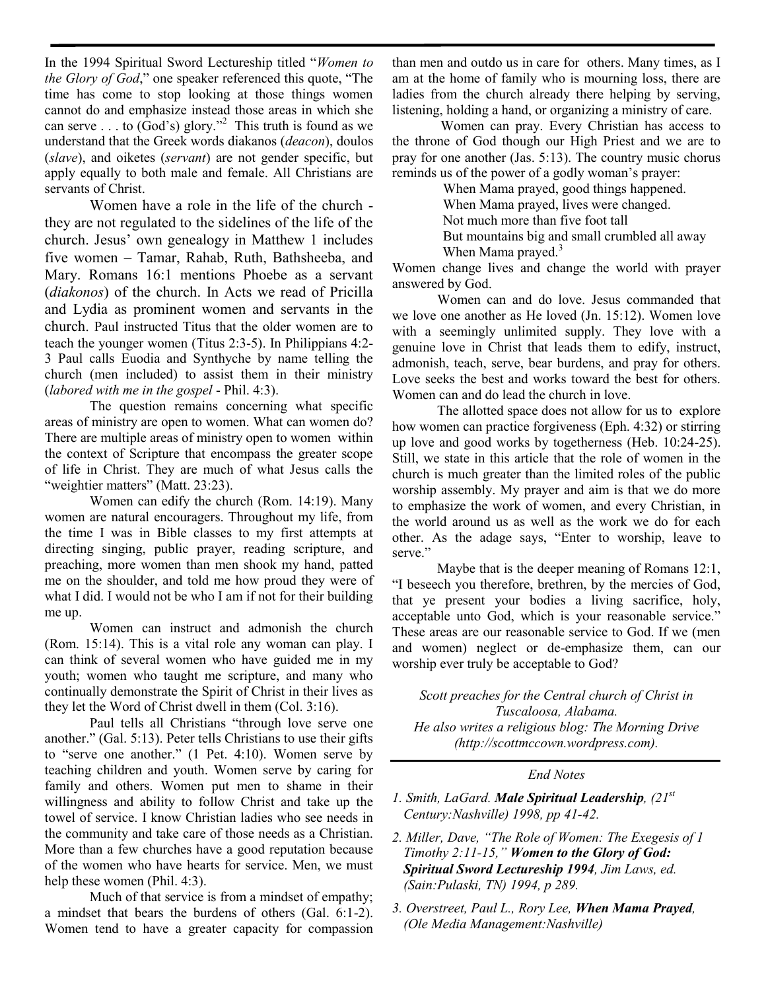In the 1994 Spiritual Sword Lectureship titled "*Women to the Glory of God*," one speaker referenced this quote, "The time has come to stop looking at those things women cannot do and emphasize instead those areas in which she can serve . . . to (God's) glory."<sup>2</sup> This truth is found as we understand that the Greek words diakanos (*deacon*), doulos (*slave*), and oiketes (*servant*) are not gender specific, but apply equally to both male and female. All Christians are servants of Christ.

Women have a role in the life of the church they are not regulated to the sidelines of the life of the church. Jesus' own genealogy in Matthew 1 includes five women – Tamar, Rahab, Ruth, Bathsheeba, and Mary. Romans 16:1 mentions Phoebe as a servant (*diakonos*) of the church. In Acts we read of Pricilla and Lydia as prominent women and servants in the church. Paul instructed Titus that the older women are to teach the younger women (Titus 2:3-5). In Philippians 4:2- 3 Paul calls Euodia and Synthyche by name telling the church (men included) to assist them in their ministry (*labored with me in the gospel* - Phil. 4:3).

The question remains concerning what specific areas of ministry are open to women. What can women do? There are multiple areas of ministry open to women within the context of Scripture that encompass the greater scope of life in Christ. They are much of what Jesus calls the "weightier matters" (Matt. 23:23).

Women can edify the church (Rom. 14:19). Many women are natural encouragers. Throughout my life, from the time I was in Bible classes to my first attempts at directing singing, public prayer, reading scripture, and preaching, more women than men shook my hand, patted me on the shoulder, and told me how proud they were of what I did. I would not be who I am if not for their building me up.

Women can instruct and admonish the church (Rom. 15:14). This is a vital role any woman can play. I can think of several women who have guided me in my youth; women who taught me scripture, and many who continually demonstrate the Spirit of Christ in their lives as they let the Word of Christ dwell in them (Col. 3:16).

Paul tells all Christians "through love serve one another." (Gal. 5:13). Peter tells Christians to use their gifts to "serve one another." (1 Pet. 4:10). Women serve by teaching children and youth. Women serve by caring for family and others. Women put men to shame in their willingness and ability to follow Christ and take up the towel of service. I know Christian ladies who see needs in the community and take care of those needs as a Christian. More than a few churches have a good reputation because of the women who have hearts for service. Men, we must help these women (Phil. 4:3).

Much of that service is from a mindset of empathy; a mindset that bears the burdens of others (Gal. 6:1-2). Women tend to have a greater capacity for compassion

than men and outdo us in care for others. Many times, as I am at the home of family who is mourning loss, there are ladies from the church already there helping by serving, listening, holding a hand, or organizing a ministry of care.

Women can pray. Every Christian has access to the throne of God though our High Priest and we are to pray for one another (Jas. 5:13). The country music chorus reminds us of the power of a godly woman's prayer:

When Mama prayed, good things happened. When Mama prayed, lives were changed. Not much more than five foot tall But mountains big and small crumbled all away When Mama prayed.<sup>3</sup>

Women change lives and change the world with prayer answered by God.

Women can and do love. Jesus commanded that we love one another as He loved (Jn. 15:12). Women love with a seemingly unlimited supply. They love with a genuine love in Christ that leads them to edify, instruct, admonish, teach, serve, bear burdens, and pray for others. Love seeks the best and works toward the best for others. Women can and do lead the church in love.

The allotted space does not allow for us to explore how women can practice forgiveness (Eph. 4:32) or stirring up love and good works by togetherness (Heb. 10:24-25). Still, we state in this article that the role of women in the church is much greater than the limited roles of the public worship assembly. My prayer and aim is that we do more to emphasize the work of women, and every Christian, in the world around us as well as the work we do for each other. As the adage says, "Enter to worship, leave to serve."

Maybe that is the deeper meaning of Romans 12:1, "I beseech you therefore, brethren, by the mercies of God, that ye present your bodies a living sacrifice, holy, acceptable unto God, which is your reasonable service." These areas are our reasonable service to God. If we (men and women) neglect or de-emphasize them, can our worship ever truly be acceptable to God?

*Scott preaches for the Central church of Christ in Tuscaloosa, Alabama. He also writes a religious blog: The Morning Drive (http://scottmccown.wordpress.com).*

## *End Notes*

- *1. Smith, LaGard. Male Spiritual Leadership, (21st Century:Nashville) 1998, pp 41-42.*
- *2. Miller, Dave, "The Role of Women: The Exegesis of 1 Timothy 2:11-15," Women to the Glory of God: Spiritual Sword Lectureship 1994, Jim Laws, ed. (Sain:Pulaski, TN) 1994, p 289.*
- *3. Overstreet, Paul L., Rory Lee, When Mama Prayed, (Ole Media Management:Nashville)*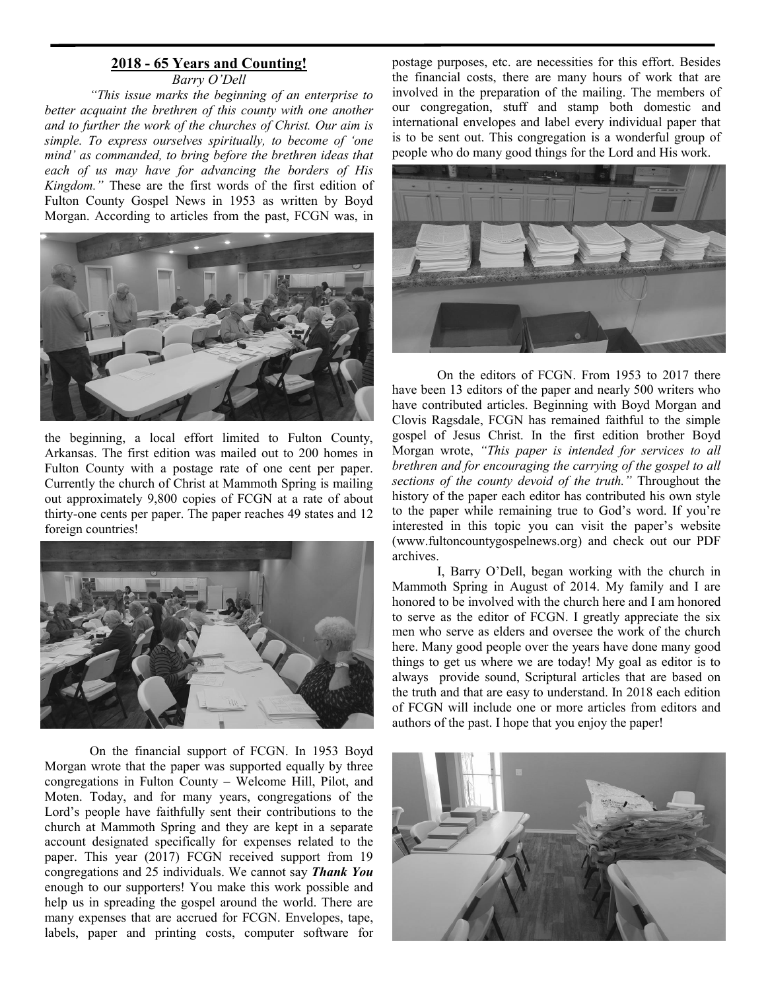#### **2018 - 65 Years and Counting!** *Barry O'Dell*

*"This issue marks the beginning of an enterprise to better acquaint the brethren of this county with one another and to further the work of the churches of Christ. Our aim is simple. To express ourselves spiritually, to become of 'one mind' as commanded, to bring before the brethren ideas that each of us may have for advancing the borders of His Kingdom."* These are the first words of the first edition of Fulton County Gospel News in 1953 as written by Boyd Morgan. According to articles from the past, FCGN was, in



the beginning, a local effort limited to Fulton County, Arkansas. The first edition was mailed out to 200 homes in Fulton County with a postage rate of one cent per paper. Currently the church of Christ at Mammoth Spring is mailing out approximately 9,800 copies of FCGN at a rate of about thirty-one cents per paper. The paper reaches 49 states and 12 foreign countries!



On the financial support of FCGN. In 1953 Boyd Morgan wrote that the paper was supported equally by three congregations in Fulton County – Welcome Hill, Pilot, and Moten. Today, and for many years, congregations of the Lord's people have faithfully sent their contributions to the church at Mammoth Spring and they are kept in a separate account designated specifically for expenses related to the paper. This year (2017) FCGN received support from 19 congregations and 25 individuals. We cannot say *Thank You* enough to our supporters! You make this work possible and help us in spreading the gospel around the world. There are many expenses that are accrued for FCGN. Envelopes, tape, labels, paper and printing costs, computer software for

postage purposes, etc. are necessities for this effort. Besides the financial costs, there are many hours of work that are involved in the preparation of the mailing. The members of our congregation, stuff and stamp both domestic and international envelopes and label every individual paper that is to be sent out. This congregation is a wonderful group of people who do many good things for the Lord and His work.



On the editors of FCGN. From 1953 to 2017 there have been 13 editors of the paper and nearly 500 writers who have contributed articles. Beginning with Boyd Morgan and Clovis Ragsdale, FCGN has remained faithful to the simple gospel of Jesus Christ. In the first edition brother Boyd Morgan wrote, *"This paper is intended for services to all brethren and for encouraging the carrying of the gospel to all sections of the county devoid of the truth."* Throughout the history of the paper each editor has contributed his own style to the paper while remaining true to God's word. If you're interested in this topic you can visit the paper's website [\(www.fultoncountygospelnews.org\)](http://www.fultoncountygospelnews.org) and check out our PDF archives.

I, Barry O'Dell, began working with the church in Mammoth Spring in August of 2014. My family and I are honored to be involved with the church here and I am honored to serve as the editor of FCGN. I greatly appreciate the six men who serve as elders and oversee the work of the church here. Many good people over the years have done many good things to get us where we are today! My goal as editor is to always provide sound, Scriptural articles that are based on the truth and that are easy to understand. In 2018 each edition of FCGN will include one or more articles from editors and authors of the past. I hope that you enjoy the paper!